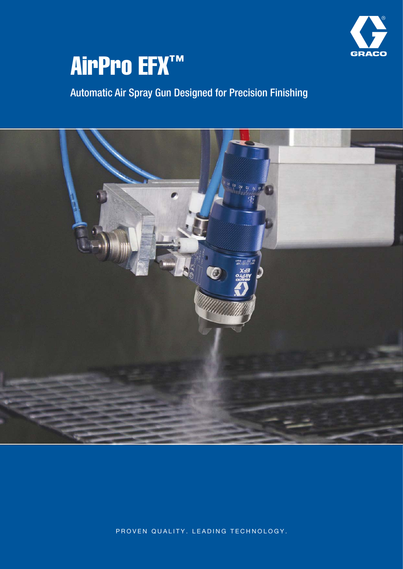

# AirPro EFX™

Automatic Air Spray Gun Designed for Precision Finishing



PROVEN QUALITY. LEADING TECHNOLOGY.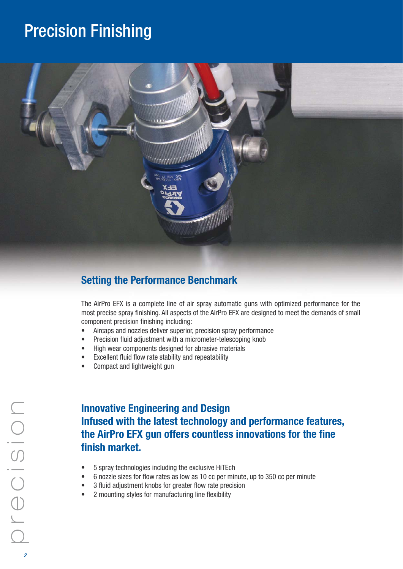## Precision Finishing



## **Setting the Performance Benchmark**

The AirPro EFX is a complete line of air spray automatic guns with optimized performance for the most precise spray finishing. All aspects of the AirPro EFX are designed to meet the demands of small component precision finishing including:

- Aircaps and nozzles deliver superior, precision spray performance
- Precision fluid adjustment with a micrometer-telescoping knob
- High wear components designed for abrasive materials
- Excellent fluid flow rate stability and repeatability
- Compact and lightweight gun

## **Innovative Engineering and Design Infused with the latest technology and performance features, the AirPro EFX gun offers countless innovations for the fine finish market.**

- 5 spray technologies including the exclusive HiTEch
- 6 nozzle sizes for flow rates as low as 10 cc per minute, up to 350 cc per minute
- 3 fluid adjustment knobs for greater flow rate precision
- 2 mounting styles for manufacturing line flexibility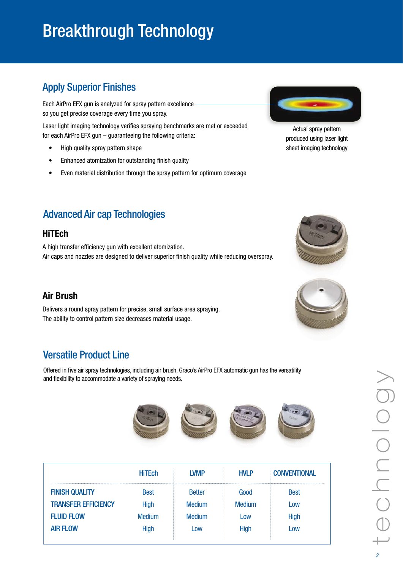# Breakthrough Technology

## Apply Superior Finishes

Each AirPro EFX gun is analyzed for spray pattern excellence so you get precise coverage every time you spray.

Laser light imaging technology verifies spraying benchmarks are met or exceeded for each AirPro EFX gun – guaranteeing the following criteria:

- High quality spray pattern shape
- Enhanced atomization for outstanding finish quality
- Even material distribution through the spray pattern for optimum coverage



Actual spray pattern produced using laser light sheet imaging technology

## Advanced Air cap Technologies

### **HiTEch**

A high transfer efficiency gun with excellent atomization. Air caps and nozzles are designed to deliver superior finish quality while reducing overspray.

### **Air Brush**

Delivers a round spray pattern for precise, small surface area spraying. The ability to control pattern size decreases material usage.

## Versatile Product Line

Offered in five air spray technologies, including air brush, Graco's AirPro EFX automatic gun has the versatility and flexibility to accommodate a variety of spraying needs.



|                            | <b>HiTEch</b> | I VMP         | <b>HVLP</b>             | <b>CONVENTIONAL</b> |
|----------------------------|---------------|---------------|-------------------------|---------------------|
| <b>FINISH QUALITY</b>      | <b>Best</b>   | <b>Better</b> | Good                    | <b>Best</b>         |
| <b>TRANSFER EFFICIENCY</b> | <b>High</b>   | <b>Medium</b> | <b>Medium</b>           | Low                 |
| <b>FLUID FLOW</b>          | Medium        | <b>Medium</b> | $\overline{\text{row}}$ | <b>High</b>         |
| <b>AIR FLOW</b>            | Hiah          | Low           | High                    | Low                 |
|                            |               |               |                         |                     |



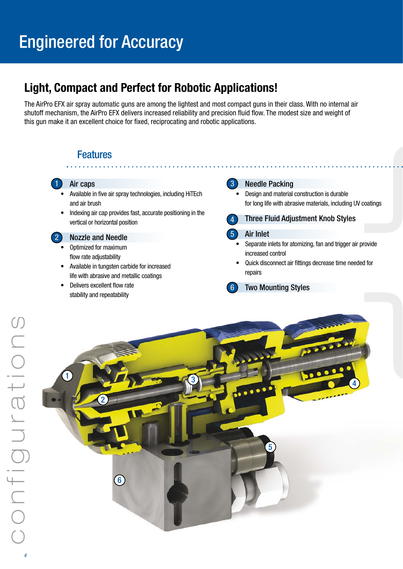## Engineered for Accuracy

## **Light, Compact and Perfect for Robotic Applications!**

The AirPro EFX air spray automatic guns are among the lightest and most compact guns in their class. With no internal air shutoff mechanism, the AirPro EFX delivers increased reliability and precision fluid flow. The modest size and weight of this gun make it an excellent choice for fixed, reciprocating and robotic applications.

## Features



- Available in five air spray technologies, including HiTEch and air brush
- Indexing air cap provides fast, accurate positioning in the vertical or horizontal position

#### 2 Nozzle and Needle

- Optimized for maximum flow rate adjustability
- Available in tungsten carbide for increased life with abrasive and metallic coatings
- Delivers excellent flow rate stability and repeatability

#### **3** Needle Packing

• Design and material construction is durable for long life with abrasive materials, including UV coatings



#### 5 Air Inlet

- Separate inlets for atomizing, fan and trigger air provide increased control
- Quick disconnect air fittings decrease time needed for repairs
- 6 Two Mounting Styles

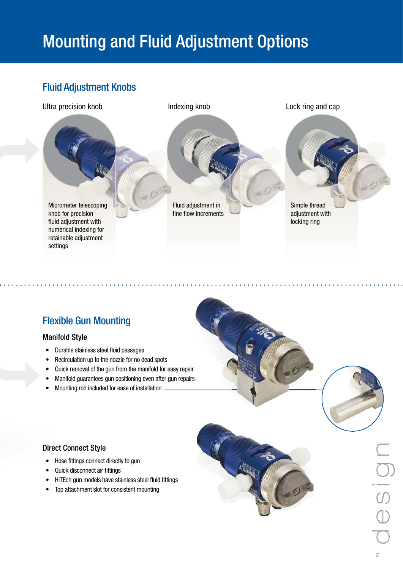# Mounting and Fluid Adjustment Options

## Fluid Adjustment Knobs



## Flexible Gun Mounting

#### Manifold Style

- Durable stainless steel fluid passages
- Recirculation up to the nozzle for no dead spots
- Quick removal of the gun from the manifold for easy repair
- Manifold guarantees gun positioning even after gun repairs
- Mounting rod included for ease of installation.

#### Direct Connect Style

- Hose fittings connect directly to gun
- Quick disconnect air fittings
- HiTEch gun models have stainless steel fluid fittings
- Top attachment slot for consistent mounting



5 d e s i g  $\subseteq$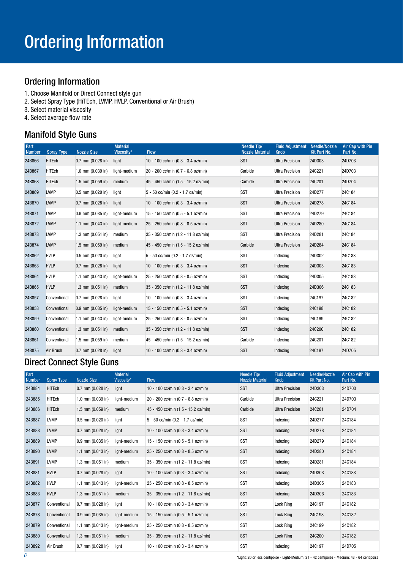## Ordering Information

- 1. Choose Manifold or Direct Connect style gun
- 2. Select Spray Type (HiTEch, LVMP, HVLP, Conventional or Air Brush)
- 3. Select material viscosity
- 4. Select average flow rate

### Manifold Style Guns

| Part<br><b>Number</b> | <b>Spray Type</b> | <b>Nozzle Size</b>    | <b>Material</b><br>Viscosity* | <b>Flow</b>                         | Needle Tip/<br><b>Nozzle Material</b> | <b>Fluid Adjustment</b><br><b>Knob</b> | <b>Needle/Nozzle</b><br>Kit Part No. | Air Cap with Pin<br>Part No. |
|-----------------------|-------------------|-----------------------|-------------------------------|-------------------------------------|---------------------------------------|----------------------------------------|--------------------------------------|------------------------------|
| 24B866                | <b>HiTEch</b>     | $0.7$ mm $(0.028$ in) | light                         | 10 - 100 cc/min (0.3 - 3.4 oz/min)  | <b>SST</b>                            | <b>Ultra Precision</b>                 | 24D303                               | 24D703                       |
| 24B867                | <b>HiTEch</b>     | $1.0$ mm (0.039 in)   | light-medium                  | 20 - 200 cc/min (0.7 - 6.8 oz/min)  | Carbide                               | <b>Ultra Precision</b>                 | 24C221                               | 24D703                       |
| 24B868                | <b>HiTEch</b>     | $1.5$ mm (0.059 in)   | medium                        | 45 - 450 cc/min (1.5 - 15.2 oz/min) | Carbide                               | <b>Ultra Precision</b>                 | 24C201                               | 24D704                       |
| 24B869                | <b>LVMP</b>       | $0.5$ mm $(0.020$ in) | light                         | 5 - 50 cc/min (0.2 - 1.7 oz/min)    | SST                                   | <b>Ultra Precision</b>                 | 24D277                               | 24C184                       |
| 24B870                | <b>LVMP</b>       | $0.7$ mm $(0.028$ in) | light                         | 10 - 100 cc/min (0.3 - 3.4 oz/min)  | <b>SST</b>                            | <b>Ultra Precision</b>                 | 24D278                               | 24C184                       |
| 24B871                | <b>LVMP</b>       | $0.9$ mm $(0.035$ in) | light-medium                  | 15 - 150 cc/min (0.5 - 5.1 oz/min)  | <b>SST</b>                            | <b>Ultra Precision</b>                 | 24D279                               | 24C184                       |
| 24B872                | <b>LVMP</b>       | 1.1 mm $(0.043$ in)   | light-medium                  | 25 - 250 cc/min (0.8 - 8.5 oz/min)  | <b>SST</b>                            | <b>Ultra Precision</b>                 | 24D280                               | 24C184                       |
| 24B873                | <b>LVMP</b>       | $1.3$ mm (0.051 in)   | medium                        | 35 - 350 cc/min (1.2 - 11.8 oz/min) | <b>SST</b>                            | <b>Ultra Precision</b>                 | 24D281                               | 24C184                       |
| 24B874                | <b>LVMP</b>       | $1.5$ mm $(0.059$ in) | medium                        | 45 - 450 cc/min (1.5 - 15.2 oz/min) | Carbide                               | <b>Ultra Precision</b>                 | 24D284                               | 24C184                       |
| 24B862                | <b>HVLP</b>       | $0.5$ mm (0.020 in)   | light                         | 5 - 50 cc/min (0.2 - 1.7 oz/min)    | <b>SST</b>                            | Indexing                               | 24D302                               | 24C183                       |
| 24B863                | <b>HVLP</b>       | $0.7$ mm $(0.028$ in) | light                         | 10 - 100 cc/min (0.3 - 3.4 oz/min)  | <b>SST</b>                            | Indexing                               | 24D303                               | 24C183                       |
| 24B864                | <b>HVLP</b>       | 1.1 mm $(0.043$ in)   | light-medium                  | 25 - 250 cc/min (0.8 - 8.5 oz/min)  | <b>SST</b>                            | Indexing                               | 24D305                               | 24C183                       |
| 24B865                | <b>HVLP</b>       | $1.3$ mm $(0.051$ in) | medium                        | 35 - 350 cc/min (1.2 - 11.8 oz/min) | <b>SST</b>                            | Indexing                               | 24D306                               | 24C183                       |
| 24B857                | Conventional      | $0.7$ mm $(0.028$ in) | light                         | 10 - 100 cc/min (0.3 - 3.4 oz/min)  | SST                                   | Indexing                               | 24C197                               | 24C182                       |
| 24B858                | Conventional      | $0.9$ mm $(0.035$ in) | light-medium                  | 15 - 150 cc/min (0.5 - 5.1 oz/min)  | <b>SST</b>                            | Indexing                               | 24C198                               | 24C182                       |
| 24B859                | Conventional      | 1.1 mm $(0.043$ in)   | light-medium                  | 25 - 250 cc/min (0.8 - 8.5 oz/min)  | SST                                   | Indexing                               | 24C199                               | 24C182                       |
| 24B860                | Conventional      | $1.3$ mm $(0.051$ in) | medium                        | 35 - 350 cc/min (1.2 - 11.8 oz/min) | <b>SST</b>                            | Indexing                               | <b>24C200</b>                        | 24C182                       |
| 24B861                | Conventional      | $1.5$ mm (0.059 in)   | medium                        | 45 - 450 cc/min (1.5 - 15.2 oz/min) | Carbide                               | Indexing                               | 24C201                               | 24C182                       |
| 24B875                | Air Brush         | $0.7$ mm $(0.028$ in) | light                         | 10 - 100 cc/min (0.3 - 3.4 oz/min)  | <b>SST</b>                            | Indexing                               | 24C197                               | 24D705                       |

## Direct Connect Style Guns

| Part<br><b>Number</b> | <b>Spray Type</b> | <b>Nozzle Size</b>    | <b>Material</b><br>Viscositv* | <b>Flow</b>                         | Needle Tip/<br><b>Nozzle Material</b> | <b>Fluid Adjustment</b><br>Knob | Needle/Nozzle<br>Kit Part No. | Air Cap with Pin<br>Part No. |
|-----------------------|-------------------|-----------------------|-------------------------------|-------------------------------------|---------------------------------------|---------------------------------|-------------------------------|------------------------------|
| 24B884                | HiTEch            | $0.7$ mm $(0.028$ in) | light                         | 10 - 100 cc/min (0.3 - 3.4 oz/min)  | <b>SST</b>                            | <b>Ultra Precision</b>          | 24D303                        | 24D703                       |
| 24B885                | HiTEch            | $1.0$ mm $(0.039$ in) | light-medium                  | 20 - 200 cc/min (0.7 - 6.8 oz/min)  | Carbide                               | <b>Ultra Precision</b>          | 24C221                        | 24D703                       |
| 24B886                | HiTEch            | $1.5$ mm (0.059 in)   | medium                        | 45 - 450 cc/min (1.5 - 15.2 oz/min) | Carbide                               | <b>Ultra Precision</b>          | 24C201                        | 24D704                       |
| 24B887                | <b>LVMP</b>       | $0.5$ mm $(0.020$ in) | light                         | 5 - 50 cc/min (0.2 - 1.7 oz/min)    | <b>SST</b>                            | Indexing                        | 24D277                        | 24C184                       |
| 24B888                | <b>LVMP</b>       | $0.7$ mm $(0.028$ in) | light                         | 10 - 100 cc/min (0.3 - 3.4 oz/min)  | <b>SST</b>                            | Indexing                        | 24D278                        | 24C184                       |
| 24B889                | <b>LVMP</b>       | $0.9$ mm $(0.035$ in) | light-medium                  | 15 - 150 cc/min (0.5 - 5.1 oz/min)  | <b>SST</b>                            | Indexing                        | 24D279                        | 24C184                       |
| 24B890                | <b>LVMP</b>       | 1.1 mm $(0.043$ in)   | light-medium                  | 25 - 250 cc/min (0.8 - 8.5 oz/min)  | <b>SST</b>                            | Indexing                        | 24D280                        | 24C184                       |
| 24B891                | <b>LVMP</b>       | $1.3$ mm (0.051 in)   | medium                        | 35 - 350 cc/min (1.2 - 11.8 oz/min) | <b>SST</b>                            | Indexing                        | 24D281                        | 24C184                       |
| 24B881                | <b>HVLP</b>       | $0.7$ mm $(0.028$ in) | light                         | 10 - 100 cc/min (0.3 - 3.4 oz/min)  | SST                                   | Indexing                        | 24D303                        | 24C183                       |
| 24B882                | <b>HVLP</b>       | 1.1 mm $(0.043$ in)   | light-medium                  | 25 - 250 cc/min (0.8 - 8.5 oz/min)  | <b>SST</b>                            | Indexing                        | 24D305                        | 24C183                       |
| 24B883                | <b>HVLP</b>       | $1.3$ mm (0.051 in)   | medium                        | 35 - 350 cc/min (1.2 - 11.8 oz/min) | <b>SST</b>                            | Indexing                        | 24D306                        | 24C183                       |
| 24B877                | Conventional      | $0.7$ mm $(0.028$ in) | light                         | 10 - 100 cc/min (0.3 - 3.4 oz/min)  | SST                                   | Lock Ring                       | 24C197                        | 24C182                       |
| 24B878                | Conventional      | $0.9$ mm $(0.035$ in) | light-medium                  | 15 - 150 cc/min (0.5 - 5.1 oz/min)  | SST                                   | Lock Ring                       | 24C198                        | 24C182                       |
| 24B879                | Conventional      | 1.1 mm $(0.043$ in)   | light-medium                  | 25 - 250 cc/min (0.8 - 8.5 oz/min)  | <b>SST</b>                            | Lock Ring                       | 24C199                        | 24C182                       |
| 24B880                | Conventional      | $1.3$ mm (0.051 in)   | medium                        | 35 - 350 cc/min (1.2 - 11.8 oz/min) | <b>SST</b>                            | Lock Ring                       | 24C200                        | 24C182                       |
| 24B892                | Air Brush         | $0.7$ mm $(0.028$ in) | light                         | 10 - 100 cc/min (0.3 - 3.4 oz/min)  | <b>SST</b>                            | Indexing                        | 24C197                        | 24D705                       |

\*Light: 20 or less centipoise - Light-Medium: 21 - 42 centipoise - Medium: 43 - 64 centipoise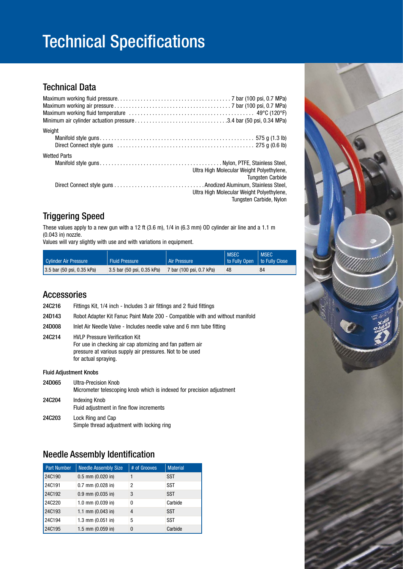# Technical Specifications

### Technical Data

| Weight                                                                                                                                                              |  |
|---------------------------------------------------------------------------------------------------------------------------------------------------------------------|--|
| <b>Wetted Parts</b><br>Ultra High Molecular Weight Polyethylene,<br><b>Tungsten Carbide</b><br>Ultra High Molecular Weight Polyethylene,<br>Tungsten Carbide, Nylon |  |

## Triggering Speed

These values apply to a new gun with a 12 ft (3.6 m), 1/4 in (6.3 mm) OD cylinder air line and a 1.1 m (0.043 in) nozzle.

Values will vary slightly with use and with variations in equipment.

| Cylinder Air Pressure                                   | <b>Fluid Pressure</b>      | <b>Air Pressure</b>      | <b>MSEC</b><br>to Fully Open   to Fully Close | <b>MSEC</b> |
|---------------------------------------------------------|----------------------------|--------------------------|-----------------------------------------------|-------------|
| $(3.5 \text{ bar } (50 \text{ psi}, 0.35 \text{ kPa}))$ | 3.5 bar (50 psi, 0.35 kPa) | 7 bar (100 psi, 0.7 kPa) | 48                                            | 84          |

### Accessories

| <b>24C216</b>                 | Fittings Kit, 1/4 inch - Includes 3 air fittings and 2 fluid fittings                                                                                                                  |
|-------------------------------|----------------------------------------------------------------------------------------------------------------------------------------------------------------------------------------|
| 24D143                        | Robot Adapter Kit Fanuc Paint Mate 200 - Compatible with and without manifold                                                                                                          |
| <b>24D008</b>                 | Inlet Air Needle Valve - Includes needle valve and 6 mm tube fitting                                                                                                                   |
| 24C214                        | <b>HVLP Pressure Verification Kit</b><br>For use in checking air cap atomizing and fan pattern air<br>pressure at various supply air pressures. Not to be used<br>for actual spraying. |
| <b>Fluid Adjustment Knobs</b> |                                                                                                                                                                                        |
| 24D065                        | Ultra-Precision Knob<br>Micrometer telescoping knob which is indexed for precision adjustment                                                                                          |

| <b>24C204</b> | Indexing Knob<br>Fluid adjustment in fine flow increments       |
|---------------|-----------------------------------------------------------------|
| <b>24C203</b> | Lock Ring and Cap<br>Simple thread adjustment with locking ring |

### Needle Assembly Identification

| <b>Part Number</b> | <b>Needle Assembly Size</b> | # of Grooves | <b>Material</b> |
|--------------------|-----------------------------|--------------|-----------------|
| 24C190             | $0.5$ mm $(0.020$ in)       |              | <b>SST</b>      |
| 24C191             | $0.7$ mm $(0.028$ in)       | 2            | <b>SST</b>      |
| 24C192             | $0.9$ mm $(0.035$ in)       | 3            | <b>SST</b>      |
| 24C220             | 1.0 mm (0.039 in)           | 0            | Carbide         |
| 24C193             | 1.1 mm $(0.043$ in)         | 4            | <b>SST</b>      |
| 24C194             | $1.3$ mm $(0.051$ in)       | 5            | <b>SST</b>      |
| 24C195             | $1.5$ mm (0.059 in)         | 0            | Carbide         |